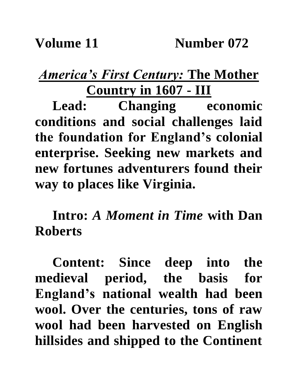## *America's First Century:* **The Mother Country in 1607 - III**

**Lead: Changing economic conditions and social challenges laid the foundation for England's colonial enterprise. Seeking new markets and new fortunes adventurers found their way to places like Virginia.**

**Intro:** *A Moment in Time* **with Dan Roberts**

**Content: Since deep into the medieval period, the basis for England's national wealth had been wool. Over the centuries, tons of raw wool had been harvested on English hillsides and shipped to the Continent**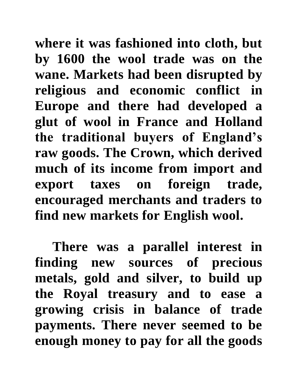**where it was fashioned into cloth, but by 1600 the wool trade was on the wane. Markets had been disrupted by religious and economic conflict in Europe and there had developed a glut of wool in France and Holland the traditional buyers of England's raw goods. The Crown, which derived much of its income from import and export taxes on foreign trade, encouraged merchants and traders to find new markets for English wool.** 

**There was a parallel interest in finding new sources of precious metals, gold and silver, to build up the Royal treasury and to ease a growing crisis in balance of trade payments. There never seemed to be enough money to pay for all the goods**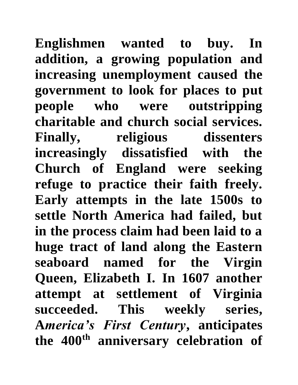**Englishmen wanted to buy. In addition, a growing population and increasing unemployment caused the government to look for places to put people who were outstripping charitable and church social services. Finally, religious dissenters increasingly dissatisfied with the Church of England were seeking refuge to practice their faith freely. Early attempts in the late 1500s to settle North America had failed, but in the process claim had been laid to a huge tract of land along the Eastern seaboard named for the Virgin Queen, Elizabeth I. In 1607 another attempt at settlement of Virginia succeeded. This weekly series, A***merica's First Century***, anticipates the 400th anniversary celebration of**